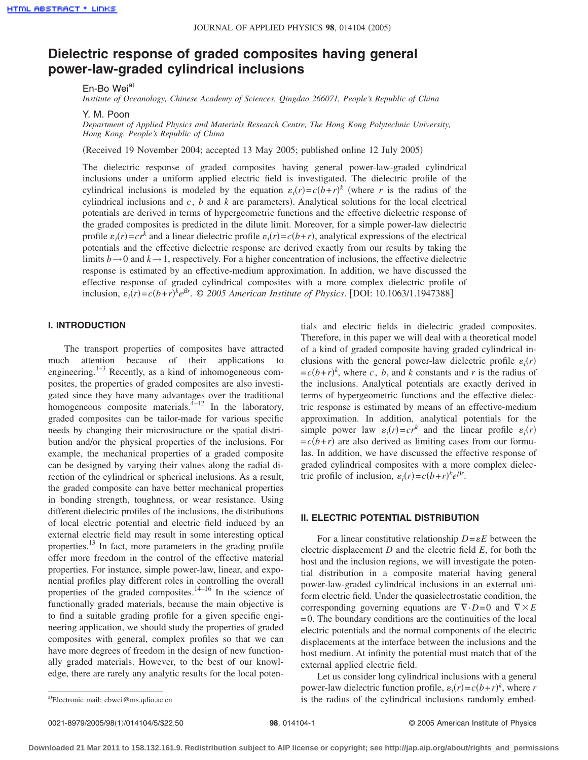# **Dielectric response of graded composites having general power-law-graded cylindrical inclusions**

En-Bo Wei<sup>a)</sup>

*Institute of Oceanology, Chinese Academy of Sciences, Qingdao 266071, People's Republic of China*

Y. M. Poon

*Department of Applied Physics and Materials Research Centre, The Hong Kong Polytechnic University, Hong Kong, People's Republic of China*

(Received 19 November 2004; accepted 13 May 2005; published online 12 July 2005)

The dielectric response of graded composites having general power-law-graded cylindrical inclusions under a uniform applied electric field is investigated. The dielectric profile of the cylindrical inclusions is modeled by the equation  $\varepsilon_i(r) = c(b+r)^k$  (where *r* is the radius of the cylindrical inclusions and  $c$ ,  $b$  and  $k$  are parameters). Analytical solutions for the local electrical potentials are derived in terms of hypergeometric functions and the effective dielectric response of the graded composites is predicted in the dilute limit. Moreover, for a simple power-law dielectric profile  $\varepsilon_i(r) = c r^k$  and a linear dielectric profile  $\varepsilon_i(r) = c(b+r)$ , analytical expressions of the electrical potentials and the effective dielectric response are derived exactly from our results by taking the limits  $b \rightarrow 0$  and  $k \rightarrow 1$ , respectively. For a higher concentration of inclusions, the effective dielectric response is estimated by an effective-medium approximation. In addition, we have discussed the effective response of graded cylindrical composites with a more complex dielectric profile of inclusion,  $\varepsilon_i(r) = c(b+r)^k e^{\beta r}$ . © 2005 American Institute of Physics. [DOI: 10.1063/1.1947388]

## **I. INTRODUCTION**

The transport properties of composites have attracted much attention because of their applications to engineering.<sup>1–3</sup> Recently, as a kind of inhomogeneous composites, the properties of graded composites are also investigated since they have many advantages over the traditional homogeneous composite materials. $4-12$  In the laboratory, graded composites can be tailor-made for various specific needs by changing their microstructure or the spatial distribution and/or the physical properties of the inclusions. For example, the mechanical properties of a graded composite can be designed by varying their values along the radial direction of the cylindrical or spherical inclusions. As a result, the graded composite can have better mechanical properties in bonding strength, toughness, or wear resistance. Using different dielectric profiles of the inclusions, the distributions of local electric potential and electric field induced by an external electric field may result in some interesting optical properties.13 In fact, more parameters in the grading profile offer more freedom in the control of the effective material properties. For instance, simple power-law, linear, and exponential profiles play different roles in controlling the overall properties of the graded composites.<sup>14–16</sup> In the science of functionally graded materials, because the main objective is to find a suitable grading profile for a given specific engineering application, we should study the properties of graded composites with general, complex profiles so that we can have more degrees of freedom in the design of new functionally graded materials. However, to the best of our knowledge, there are rarely any analytic results for the local potentials and electric fields in dielectric graded composites. Therefore, in this paper we will deal with a theoretical model of a kind of graded composite having graded cylindrical inclusions with the general power-law dielectric profile  $\varepsilon_i(r)$  $=c(b+r)^k$ , where *c*, *b*, and *k* constants and *r* is the radius of the inclusions. Analytical potentials are exactly derived in terms of hypergeometric functions and the effective dielectric response is estimated by means of an effective-medium approximation. In addition, analytical potentials for the simple power law  $\varepsilon_i(r) = cr^k$  and the linear profile  $\varepsilon_i(r)$  $=c(b+r)$  are also derived as limiting cases from our formulas. In addition, we have discussed the effective response of graded cylindrical composites with a more complex dielectric profile of inclusion,  $\varepsilon_i(r) = c(b+r)^k e^{\beta r}$ .

# **II. ELECTRIC POTENTIAL DISTRIBUTION**

For a linear constitutive relationship  $D = \varepsilon E$  between the electric displacement *D* and the electric field *E*, for both the host and the inclusion regions, we will investigate the potential distribution in a composite material having general power-law-graded cylindrical inclusions in an external uniform electric field. Under the quasielectrostatic condition, the corresponding governing equations are  $\nabla \cdot D = 0$  and  $\nabla \times E$  $= 0$ . The boundary conditions are the continuities of the local electric potentials and the normal components of the electric displacements at the interface between the inclusions and the host medium. At infinity the potential must match that of the external applied electric field.

Let us consider long cylindrical inclusions with a general power-law dielectric function profile,  $\varepsilon_i(r) = c(b+r)^k$ , where *r* is the radius of the cylindrical inclusions randomly embed-

Electronic mail: ebwei@ms.qdio.ac.cn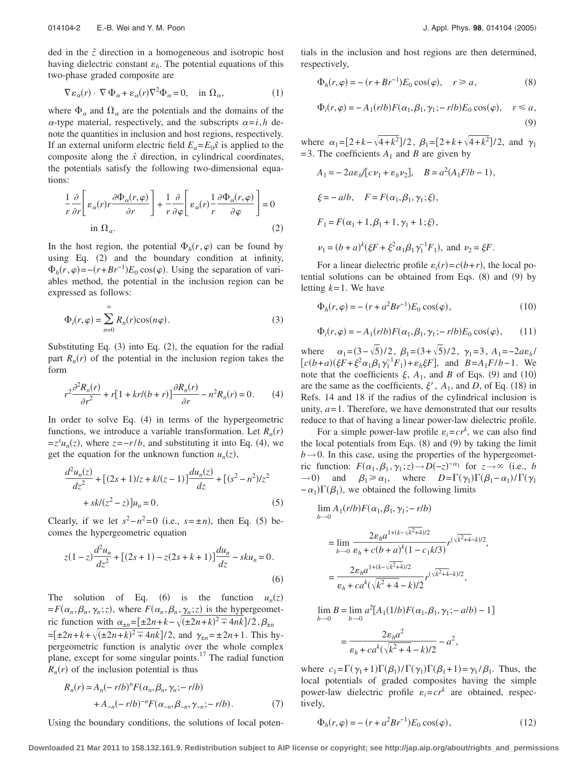ded in the *zˆ* direction in a homogeneous and isotropic host having dielectric constant  $\varepsilon_h$ . The potential equations of this two-phase graded composite are

$$
\nabla \varepsilon_{\alpha}(r) \cdot \nabla \Phi_{\alpha} + \varepsilon_{\alpha}(r) \nabla^2 \Phi_{\alpha} = 0, \quad \text{in } \Omega_{\alpha}, \tag{1}
$$

where  $\Phi_{\alpha}$  and  $\Omega_{\alpha}$  are the potentials and the domains of the  $\alpha$ -type material, respectively, and the subscripts  $\alpha = i$ , *h* denote the quantities in inclusion and host regions, respectively. If an external uniform electric field  $E_a = E_0 \hat{x}$  is applied to the composite along the  $\hat{x}$  direction, in cylindrical coordinates, the potentials satisfy the following two-dimensional equations:

$$
\frac{1}{r}\frac{\partial}{\partial r}\left[\varepsilon_{\alpha}(r)r\frac{\partial \Phi_{\alpha}(r,\varphi)}{\partial r}\right] + \frac{1}{r}\frac{\partial}{\partial \varphi}\left[\varepsilon_{\alpha}(r)\frac{1}{r}\frac{\partial \Phi_{\alpha}(r,\varphi)}{\partial \varphi}\right] = 0
$$
\nin

\n
$$
\Omega_{\alpha}.
$$
\n(2)

In the host region, the potential  $\Phi_h(r,\varphi)$  can be found by using Eq. (2) and the boundary condition at infinity,  $\Phi_h(r,\varphi) = -(r + Br^{-1})E_0 \cos(\varphi)$ . Using the separation of variables method, the potential in the inclusion region can be expressed as follows:

$$
\Phi_i(r,\varphi) = \sum_{n=0}^{\infty} R_n(r) \cos(n\varphi).
$$
\n(3)

Substituting Eq.  $(3)$  into Eq.  $(2)$ , the equation for the radial part  $R_n(r)$  of the potential in the inclusion region takes the form

$$
r^2 \frac{\partial^2 R_n(r)}{\partial r^2} + r[1 + kr/(b+r)] \frac{\partial R_n(r)}{\partial r} - n^2 R_n(r) = 0.
$$
 (4)

In order to solve Eq. (4) in terms of the hypergeometric functions, we introduce a variable transformation. Let  $R_n(r)$  $= z<sup>s</sup> u<sub>n</sub>(z)$ , where  $z = -r/b$ , and substituting it into Eq. (4), we get the equation for the unknown function  $u_n(z)$ ,

$$
\frac{d^2u_n(z)}{dz^2} + [(2s+1)/z + k/(z-1)]\frac{du_n(z)}{dz} + [(s^2 - n^2)/z^2 + sk/(z^2 - z)]u_n = 0.
$$
\n(5)

Clearly, if we let  $s^2 - n^2 = 0$  (i.e.,  $s = \pm n$ ), then Eq. (5) becomes the hypergeometric equation

$$
z(1-z)\frac{d^2u_n}{dz^2} + [(2s+1) - z(2s+k+1)]\frac{du_n}{dz} - sku_n = 0.
$$
\n(6)

The solution of Eq. (6) is the function  $u_n(z)$  $= F(\alpha_n, \beta_n, \gamma_n; z)$ , where  $F(\alpha_n, \beta_n, \gamma_n; z)$  is the hypergeometric function with  $\alpha_{\pm n} = [\pm 2n + k - \sqrt{(\pm 2n + k)^2 + 4nk}]/2$ ,  $\beta_{\pm n}$  $= [\pm 2n + k + \sqrt{(\pm 2n + k)^2 + 4nk}]/2$ , and  $\gamma_{\pm n} = \pm 2n + 1$ . This hypergeometric function is analytic over the whole complex plane, except for some singular points.17 The radial function  $R_n(r)$  of the inclusion potential is thus

$$
R_n(r) = A_n(-rlb)^n F(\alpha_n, \beta_n, \gamma_n; -rlb) + A_{-n}(-rlb)^{-n} F(\alpha_{-n}, \beta_{-n}, \gamma_{-n}; -rlb).
$$
 (7)

Using the boundary conditions, the solutions of local poten-

tials in the inclusion and host regions are then determined, respectively,

$$
\Phi_h(r,\varphi) = -(r + Br^{-1})E_0 \cos(\varphi), \quad r \ge a,\tag{8}
$$

$$
\Phi_i(r,\varphi) = -A_1(r/b)F(\alpha_1,\beta_1,\gamma_1;-r/b)E_0\cos(\varphi), \quad r \le a,
$$
\n(9)

where  $\alpha_1 = [2 + k - \sqrt{4 + k^2}] / 2$ ,  $\beta_1 = [2 + k + \sqrt{4 + k^2}] / 2$ , and  $\gamma_1$  $= 3$ . The coefficients  $A_1$  and *B* are given by

$$
A_1 = -2a\varepsilon_h/[c\nu_1 + \varepsilon_h \nu_2], \quad B = a^2(A_1F/b - 1),
$$
  
\n
$$
\xi = -alb, \quad F = F(\alpha_1, \beta_1, \gamma_1; \xi),
$$
  
\n
$$
F_1 = F(\alpha_1 + 1, \beta_1 + 1, \gamma_1 + 1; \xi),
$$
  
\n
$$
\nu_1 = (b + a)^k(\xi F + \xi^2 \alpha_1 \beta_1 \gamma_1^{-1} F_1), \text{ and } \nu_2 = \xi F.
$$

For a linear dielectric profile  $\varepsilon_i(r) = c(b+r)$ , the local potential solutions can be obtained from Eqs.  $(8)$  and  $(9)$  by letting *k*= 1. We have

$$
\Phi_h(r,\varphi) = -(r + a^2 B r^{-1}) E_0 \cos(\varphi), \tag{10}
$$

$$
\Phi_i(r,\varphi) = -A_1(r/b)F(\alpha_1,\beta_1,\gamma_1;-r/b)E_0\cos(\varphi),\qquad(11)
$$

where  $\alpha_1 = (3 - \sqrt{5})/2$ ,  $\beta_1 = (3 + \sqrt{5})/2$ ,  $\gamma_1 = 3$ ,  $A_1 = -2a\epsilon_h/2$  $[c(b+a)(\xi F + \xi^2 \alpha_1 \beta_1 \gamma_1^{-1} F_1) + \varepsilon_h \xi F]$ , and  $B = A_1 F/b - 1$ . We note that the coefficients  $\xi$ ,  $A_1$ , and *B* of Eqs. (9) and (10) are the same as the coefficients,  $\xi'$ ,  $A_1$ , and *D*, of Eq. (18) in Refs. 14 and 18 if the radius of the cylindrical inclusion is unity,  $a = 1$ . Therefore, we have demonstrated that our results reduce to that of having a linear power-law dielectric profile.

For a simple power-law profile  $\varepsilon_i = c r^k$ , we can also find the local potentials from Eqs.  $(8)$  and  $(9)$  by taking the limit  $b \rightarrow 0$ . In this case, using the properties of the hypergeometric function:  $F(\alpha_1, \beta_1, \gamma_1; z) \rightarrow D(-z)^{-\alpha_1}$  for  $z \rightarrow \infty$  (i.e., *b*  $\rightarrow$  0) and  $\beta_1 \ge \alpha_1$ , where  $D=\Gamma(\gamma_1)\Gamma(\beta_1-\alpha_1)/\Gamma(\gamma_1)$  $-\alpha_1$ ) $\Gamma(\beta_1)$ , we obtained the following limits

$$
\lim_{b \to 0} A_1(r/b) F(\alpha_1, \beta_1, \gamma_1; -r/b)
$$
\n
$$
= \lim_{b \to 0} \frac{2\varepsilon_h a^{1 + (k - \sqrt{k^2 + 4})/2}}{\varepsilon_h + c(b + a)^k (1 - c_1 k/3)} r^{(\sqrt{k^2 + 4} - k)/2},
$$
\n
$$
= \frac{2\varepsilon_h a^{1 + (k - \sqrt{k^2 + 4})/2}}{\varepsilon_h + c a^k (\sqrt{k^2 + 4} - k)/2} r^{(\sqrt{k^2 + 4} - k)/2},
$$

$$
\lim_{b \to 0} B = \lim_{b \to 0} a^2 [A_1(1/b) F(\alpha_1, \beta_1, \gamma_1; -a/b) - 1]
$$

$$
= \frac{2\varepsilon_h a^2}{\varepsilon_h + c a^k (\sqrt{k^2 + 4} - k)/2} - a^2,
$$

where  $c_1 = \Gamma(\gamma_1 + 1) \Gamma(\beta_1) / \Gamma(\gamma_1) \Gamma(\beta_1 + 1) = \gamma_1 / \beta_1$ . Thus, the local potentials of graded composites having the simple power-law dielectric profile  $\varepsilon_i = c r^k$  are obtained, respectively,

$$
\Phi_h(r,\varphi) = -(r + a^2 B r^{-1}) E_0 \cos(\varphi), \tag{12}
$$

**Downloaded 21 Mar 2011 to 158.132.161.9. Redistribution subject to AIP license or copyright; see http://jap.aip.org/about/rights\_and\_permissions**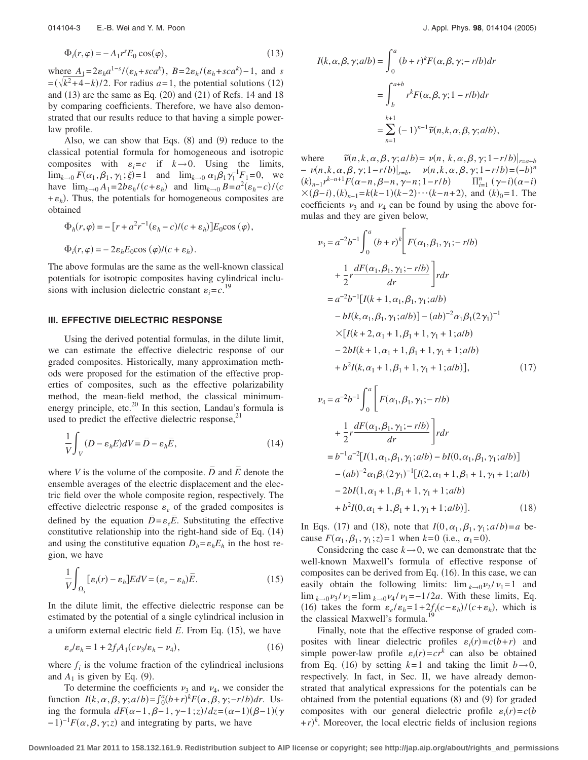$$
\Phi_i(r,\varphi) = -A_1 r^s E_0 \cos(\varphi),\tag{13}
$$

where  $A_1 = 2\varepsilon_h a^{1-s} / (\varepsilon_h + sc a^k)$ ,  $B = 2\varepsilon_h / (\varepsilon_h + sc a^k) - 1$ , and *s*  $=$  $(\sqrt{k^2+4-k})/2$ . For radius *a*=1, the potential solutions (12) and  $(13)$  are the same as Eq.  $(20)$  and  $(21)$  of Refs. 14 and 18 by comparing coefficients. Therefore, we have also demonstrated that our results reduce to that having a simple powerlaw profile.

Also, we can show that Eqs.  $(8)$  and  $(9)$  reduce to the classical potential formula for homogeneous and isotropic composites with  $\varepsilon_i = c$  if  $k \to 0$ . Using the limits,  $\lim_{k \to 0} F(\alpha_1, \beta_1, \gamma_1; \xi) = 1$  and  $\lim_{k \to 0} \alpha_1 \beta_1 \gamma_1^{-1} F_1 = 0$ , we have  $\lim_{k\to 0} A_1 = 2b\epsilon_h/(c+\epsilon_h)$  and  $\lim_{k\to 0} B = a^2(\epsilon_h - c)/(c$  $+ \varepsilon_h$ ). Thus, the potentials for homogeneous composites are obtained

$$
\Phi_h(r,\varphi) = -\left[r + a^2r^{-1}(\varepsilon_h - c)/(c + \varepsilon_h)\right]E_0 \cos{(\varphi)},
$$
  

$$
\Phi_i(r,\varphi) = -2\varepsilon_h E_0 \cos{(\varphi)/(c + \varepsilon_h)}.
$$

The above formulas are the same as the well-known classical potentials for isotropic composites having cylindrical inclusions with inclusion dielectric constant  $\varepsilon_i = c$ .<sup>19</sup>

## **III. EFFECTIVE DIELECTRIC RESPONSE**

Using the derived potential formulas, in the dilute limit, we can estimate the effective dielectric response of our graded composites. Historically, many approximation methods were proposed for the estimation of the effective properties of composites, such as the effective polarizability method, the mean-field method, the classical minimumenergy principle, etc.<sup>20</sup> In this section, Landau's formula is used to predict the effective dielectric response, $^{21}$ 

$$
\frac{1}{V} \int_{V} (D - \varepsilon_h E) dV = \overline{D} - \varepsilon_h \overline{E},
$$
\n(14)

where *V* is the volume of the composite.  $\overline{D}$  and  $\overline{E}$  denote the ensemble averages of the electric displacement and the electric field over the whole composite region, respectively. The effective dielectric response  $\varepsilon_e$  of the graded composites is defined by the equation  $\overline{D} = \varepsilon_e \overline{E}$ . Substituting the effective constitutive relationship into the right-hand side of Eq.  $(14)$ and using the constitutive equation  $D_h = \varepsilon_h E_h$  in the host region, we have

$$
\frac{1}{V} \int_{\Omega_i} [\varepsilon_i(r) - \varepsilon_h] E dV = (\varepsilon_e - \varepsilon_h) \overline{E}.
$$
\n(15)

In the dilute limit, the effective dielectric response can be estimated by the potential of a single cylindrical inclusion in a uniform external electric field  $\overline{E}$ . From Eq. (15), we have

$$
\varepsilon_e/\varepsilon_h = 1 + 2f_i A_1 (c\nu_3/\varepsilon_h - \nu_4),\tag{16}
$$

where  $f_i$  is the volume fraction of the cylindrical inclusions and  $A_1$  is given by Eq. (9).

To determine the coefficients  $\nu_3$  and  $\nu_4$ , we consider the function  $I(k, \alpha, \beta, \gamma; a/b) = \int_0^a (b+r)^k F(\alpha, \beta, \gamma; -r/b) dr$ . Using the formula  $dF(\alpha-1, \beta-1, \gamma-1; z)/dz = (\alpha-1)(\beta-1)(\gamma$  $(-1)^{-1}F(\alpha, \beta, \gamma; z)$  and integrating by parts, we have

$$
I(k, \alpha, \beta, \gamma; alb) = \int_0^a (b+r)^k F(\alpha, \beta, \gamma; -rlb) dr
$$
  
= 
$$
\int_b^{a+b} r^k F(\alpha, \beta, \gamma; 1 - rlb) dr
$$
  
= 
$$
\sum_{n=1}^{k+1} (-1)^{n-1} \tilde{\nu}(n, k, \alpha, \beta, \gamma; alb),
$$

where *˜*  $\tilde{\nu}(n, k, \alpha, \beta, \gamma; a/b) = \nu(n, k, \alpha, \beta, \gamma; 1-r/b)|_{r=a+b}$  $-\nu(n,k,\alpha,\beta,\gamma;1-r/b)|_{r=b}, \quad \nu(n,k,\alpha,\beta,\gamma;1-r/b)=(-b)^n$  $(k)_{n-1} r^{k-n+1} F(\alpha - n, \beta - n, \gamma - n; 1 - r/b)$   $\prod_{i=1}^{n} (\gamma - i)(\alpha - i)$  $\times (\beta - i)$ ,  $(k)_{n-1} = k(k-1)(k-2)\cdots(k-n+2)$ , and  $(k)_0 = 1$ . The coefficients  $\nu_3$  and  $\nu_4$  can be found by using the above formulas and they are given below,

$$
\nu_3 = a^{-2}b^{-1} \int_0^a (b+r)^k \left[ F(\alpha_1, \beta_1, \gamma_1; -r/b) + \frac{1}{2}r \frac{dF(\alpha_1, \beta_1, \gamma_1; -r/b)}{dr} \right] r dr
$$
  
\n
$$
= a^{-2}b^{-1} [I(k+1, \alpha_1, \beta_1, \gamma_1; al/b) - bl(k, \alpha_1, \beta_1, \gamma_1; al/b) - (ab)^{-2} \alpha_1 \beta_1 (2 \gamma_1)^{-1}
$$
  
\n
$$
\times [I(k+2, \alpha_1+1, \beta_1+1, \gamma_1+1; al/b) - 2bl(k+1, \alpha_1+1, \beta_1+1, \gamma_1+1; al/b) + b^2 I(k, \alpha_1+1, \beta_1+1, \gamma_1+1; al/b)], \qquad (17)
$$

$$
\nu_4 = a^{-2}b^{-1} \int_0^a \left[ F(\alpha_1, \beta_1, \gamma_1; -r/b) + \frac{1}{2}r \frac{dF(\alpha_1, \beta_1, \gamma_1; -r/b)}{dr} \right] r dr
$$
  
\n
$$
= b^{-1}a^{-2} [I(1, \alpha_1, \beta_1, \gamma_1; alb) - bl(0, \alpha_1, \beta_1, \gamma_1; alb)] - (ab)^{-2} \alpha_1 \beta_1 (2\gamma_1)^{-1} [I(2, \alpha_1 + 1, \beta_1 + 1, \gamma_1 + 1; alb) - 2bl(1, \alpha_1 + 1, \beta_1 + 1, \gamma_1 + 1; alb) + b^2 I(0, \alpha_1 + 1, \beta_1 + 1, \gamma_1 + 1; alb)]. \tag{18}
$$

In Eqs. (17) and (18), note that  $I(0, \alpha_1, \beta_1, \gamma_1; a/b) = a$  because  $F(\alpha_1, \beta_1, \gamma_1; z) = 1$  when  $k=0$  (i.e.,  $\alpha_1 = 0$ ).

Considering the case  $k \rightarrow 0$ , we can demonstrate that the well-known Maxwell's formula of effective response of composites can be derived from Eq. (16). In this case, we can easily obtain the following limits:  $\lim_{k\to 0} \frac{\nu_2}{\nu_1} = 1$  and  $\lim_{k \to 0} \frac{\nu_3}{\nu_1} = \lim_{k \to 0} \frac{\nu_4}{\nu_1} = -\frac{1}{2a}$ . With these limits, Eq. (16) takes the form  $\varepsilon_e / \varepsilon_h = 1 + 2f_i(c - \varepsilon_h) / (c + \varepsilon_h)$ , which is the classical Maxwell's formula.<sup>19</sup>

Finally, note that the effective response of graded composites with linear dielectric profiles  $\varepsilon_i(r) = c(b+r)$  and simple power-law profile  $\varepsilon_i(r) = c r^k$  can also be obtained from Eq. (16) by setting  $k=1$  and taking the limit  $b \rightarrow 0$ , respectively. In fact, in Sec. II, we have already demonstrated that analytical expressions for the potentials can be obtained from the potential equations  $(8)$  and  $(9)$  for graded composites with our general dielectric profile  $\varepsilon_i(r) = c(b)$  $+r$ <sup>k</sup>. Moreover, the local electric fields of inclusion regions

**Downloaded 21 Mar 2011 to 158.132.161.9. Redistribution subject to AIP license or copyright; see http://jap.aip.org/about/rights\_and\_permissions**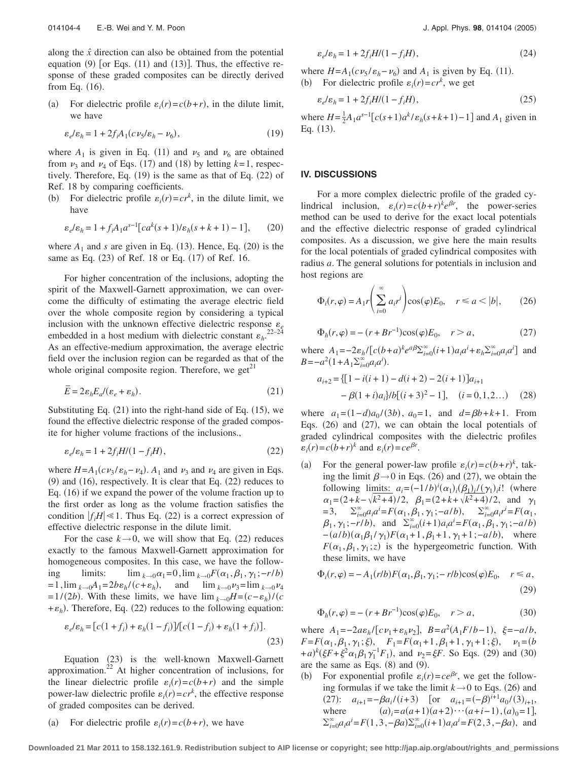along the *xˆ* direction can also be obtained from the potential equation  $(9)$  [or Eqs.  $(11)$  and  $(13)$ ]. Thus, the effective response of these graded composites can be directly derived from Eq.  $(16)$ .

 $(a)$ For dielectric profile  $\varepsilon_i(r) = c(b+r)$ , in the dilute limit, we have

$$
\varepsilon_e/\varepsilon_h = 1 + 2f_i A_1 (c\nu_5/\varepsilon_h - \nu_6),\tag{19}
$$

where  $A_1$  is given in Eq. (11) and  $\nu_5$  and  $\nu_6$  are obtained from  $\nu_3$  and  $\nu_4$  of Eqs. (17) and (18) by letting  $k=1$ , respectively. Therefore, Eq.  $(19)$  is the same as that of Eq.  $(22)$  of Ref. 18 by comparing coefficients.

 $(b)$ For dielectric profile  $\varepsilon_i(r) = c r^k$ , in the dilute limit, we have

$$
\varepsilon_e/\varepsilon_h = 1 + f_i A_1 a^{s-1} \left[ c a^k (s+1)/\varepsilon_h (s+k+1) - 1 \right],\tag{20}
$$

where  $A_1$  and *s* are given in Eq. (13). Hence, Eq. (20) is the same as Eq. (23) of Ref. 18 or Eq. (17) of Ref. 16.

For higher concentration of the inclusions, adopting the spirit of the Maxwell-Garnett approximation, we can overcome the difficulty of estimating the average electric field over the whole composite region by considering a typical inclusion with the unknown effective dielectric response  $\varepsilon_e$ <br>
ambadded in a bost medium with dialectric constant a <sup>22–24</sup> embedded in a host medium with dielectric constant  $\varepsilon_h$ <sup>2</sup>. As an effective-medium approximation, the average electric field over the inclusion region can be regarded as that of the whole original composite region. Therefore, we get<sup> $21$ </sup>

$$
\overline{E} = 2\varepsilon_h E_d / (\varepsilon_e + \varepsilon_h). \tag{21}
$$

Substituting Eq.  $(21)$  into the right-hand side of Eq.  $(15)$ , we found the effective dielectric response of the graded composite for higher volume fractions of the inclusions.,

$$
\varepsilon_e/\varepsilon_h = 1 + 2f_i H/(1 - f_i H),\tag{22}
$$

where  $H = A_1(cv_3/\varepsilon_h - v_4)$ .  $A_1$  and  $v_3$  and  $v_4$  are given in Eqs.  $(9)$  and  $(16)$ , respectively. It is clear that Eq.  $(22)$  reduces to Eq. (16) if we expand the power of the volume fraction up to the first order as long as the volume fraction satisfies the condition  $|f_i H| \leq 1$ . Thus Eq. (22) is a correct expression of effective dielectric response in the dilute limit.

For the case  $k \rightarrow 0$ , we will show that Eq. (22) reduces exactly to the famous Maxwell-Garnett approximation for homogeneous composites. In this case, we have the following limits:  $\lim_{k\to 0} \alpha_1 = 0$ ,  $\lim_{k\to 0} F(\alpha_1, \beta_1, \gamma_1; -r/b)$  $= 1$ ,  $\lim_{k \to 0} A_1 = 2b\epsilon_h / (c + \epsilon_h)$ , and  $\lim_{k \to 0} \nu_3 = \lim_{k \to 0} \nu_4$  $=1/(2b)$ . With these limits, we have  $\lim_{k\to 0} H = (c - \varepsilon_h)/c$  $+ \varepsilon_h$ ). Therefore, Eq. (22) reduces to the following equation:

$$
\varepsilon_e/\varepsilon_h = [c(1+f_i) + \varepsilon_h(1-f_i)][c(1-f_i) + \varepsilon_h(1+f_i)].
$$
\n(23)

Equation (23) is the well-known Maxwell-Garnett approximation.22 At higher concentration of inclusions, for the linear dielectric profile  $\varepsilon_i(r) = c(b+r)$  and the simple power-law dielectric profile  $\varepsilon_i(r) = c r^k$ , the effective response of graded composites can be derived.

 $(a)$ For dielectric profile  $\varepsilon_i(r) = c(b+r)$ , we have

$$
\varepsilon_e/\varepsilon_h = 1 + 2f_i H/(1 - f_i H),\tag{24}
$$

where  $H = A_1(c\nu_5/\varepsilon_h - \nu_6)$  and  $A_1$  is given by Eq. (11).

(b) For dielectric profile  $\varepsilon_i(r) = c r^k$ , we get

$$
\varepsilon_e/\varepsilon_h = 1 + 2f_i H/(1 - f_i H),\tag{25}
$$

where  $H = \frac{1}{2}A_1a^{s-1}[c(s+1)a^k/\varepsilon_h(s+k+1)-1]$  and  $A_1$  given in Eq.  $(13)$ .

## **IV. DISCUSSIONS**

For a more complex dielectric profile of the graded cylindrical inclusion,  $\varepsilon_i(r) = c(b+r)^k e^{\beta r}$ , the power-series method can be used to derive for the exact local potentials and the effective dielectric response of graded cylindrical composites. As a discussion, we give here the main results for the local potentials of graded cylindrical composites with radius *a*. The general solutions for potentials in inclusion and host regions are

$$
\Phi_i(r,\varphi) = A_1 r \left( \sum_{i=0}^{\infty} a_i r^i \right) \cos(\varphi) E_0, \quad r \le a < |b|,\tag{26}
$$

$$
\Phi_h(r,\varphi) = -(r + Br^{-1})\cos(\varphi)E_0, \quad r > a,
$$
\n(27)

where  $A_1 = -2\varepsilon_h / [c(b+a)^k e^{a\beta} \sum_{i=0}^{\infty} (i+1) a_i a^i + \varepsilon_h \sum_{i=0}^{\infty} a_i a^i]$  and  $B = -a^2(1 + A_1 \sum_{i=0}^{\infty} a_i a^i).$ 

$$
a_{i+2} = \{ [1 - i(i+1) - d(i+2) - 2(i+1)]a_{i+1} - \beta(1+i)a_i\} / b [(i+3)^2 - 1], \quad (i = 0, 1, 2...)
$$
 (28)

where  $a_1 = (1 - d)a_0/(3b)$ ,  $a_0 = 1$ , and  $d = \beta b + k + 1$ . From Eqs. (26) and (27), we can obtain the local potentials of graded cylindrical composites with the dielectric profiles  $\varepsilon_i(r) = c(b+r)^k$  and  $\varepsilon_i(r) = ce^{\beta r}$ .

 $(a)$ For the general power-law profile  $\varepsilon_i(r) = c(b+r)^k$ , taking the limit  $\beta \rightarrow 0$  in Eqs. (26) and (27), we obtain the following limits:  $a_i = (-1/b)^i (\alpha_1)_i (\beta_1)_i/(\gamma_1)_i$ ! (where  $\alpha_1 = (2 + k - \sqrt{k^2 + 4})/2$ ,  $\beta_1 = (2 + k + \sqrt{k^2 + 4})/2$ , and  $\gamma_1$  $= 3, \quad \sum_{i=0}^{\infty} a_i a^i = F(\alpha_1, \beta_1, \gamma_1; -a/b), \quad \sum_{i=0}^{\infty} a_i r^i = F(\alpha_1, \beta_1; -a/b)$  $\beta_1, \gamma_1; -r/b$ , and  $\Sigma_{i=0}^{\infty}(i+1)a_i a^i = F(\alpha_1, \beta_1, \gamma_1; -a/b)$  $-(a/b)(\alpha_1\beta_1/\gamma_1)F(\alpha_1+1,\beta_1+1,\gamma_1+1;-a/b)$ , where  $F(\alpha_1, \beta_1, \gamma_1; z)$  is the hypergeometric function. With these limits, we have

$$
\Phi_i(r,\varphi) = -A_1(r/b)F(\alpha_1,\beta_1,\gamma_1;-r/b)\cos(\varphi)E_0, \quad r \le a,
$$
\n(29)

$$
\Phi_h(r,\varphi) = -(r + Br^{-1})\cos(\varphi)E_0, \quad r > a,
$$
\n(30)

where  $A_1 = -2a\epsilon_h / [c\nu_1 + \epsilon_h \nu_2], B = a^2(A_1 F/b - 1), \xi = -a/b,$  $F = F(\alpha_1, \beta_1, \gamma_1; \xi), \quad F_1 = F(\alpha_1 + 1, \beta_1 + 1, \gamma_1 + 1; \xi), \quad \nu_1 = (b$  $+(a)^{k}(\xi F + \xi^{2} \alpha_{1} \beta_{1} \gamma_{1}^{-1} F_{1}),$  and  $\nu_{2} = \xi F$ . So Eqs. (29) and (30) are the same as Eqs.  $(8)$  and  $(9)$ .

 $(b)$ For exponential profile  $\varepsilon_i(r) = ce^{\beta r}$ , we get the following formulas if we take the limit  $k \rightarrow 0$  to Eqs. (26) and (27):  $a_{i+1} = -\beta a_i / (i+3)$  [or  $a_{i+1} = (-\beta)^{i+1} a_0 / (3)_{i+1}$ , where *a* $a_i = a(a+1)(a+2)\cdots(a+i-1), (a)_0 = 1,$  $\sum_{i=0}^{\infty} a_i a^i = F(1, 3, -\beta a) \sum_{i=0}^{\infty} (i+1) a_i a^i = F(2, 3, -\beta a)$ , and

**Downloaded 21 Mar 2011 to 158.132.161.9. Redistribution subject to AIP license or copyright; see http://jap.aip.org/about/rights\_and\_permissions**